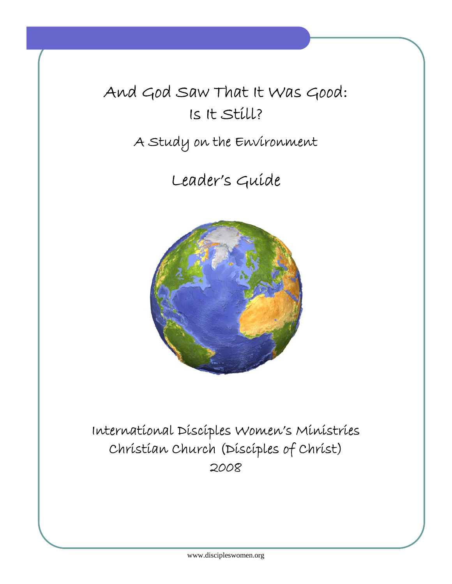# And God Saw That It Was Good: Is It Still?

## A Study on the Environment

## Leader's Guide



## International Disciples Women's Ministries Christian Church (Disciples of Christ) 2008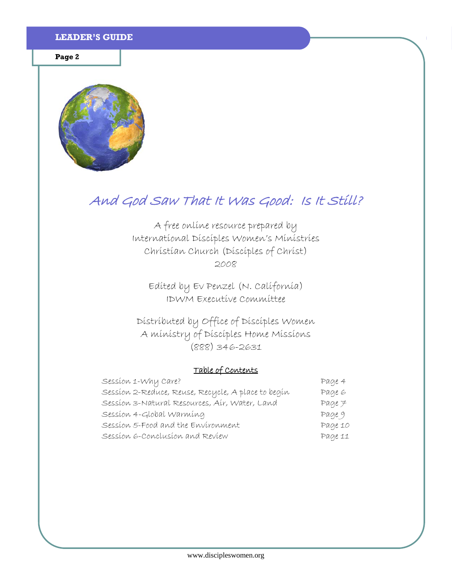**Page 2** 



## And God Saw That It Was Good: Is It Still?

A free online resource prepared by International Disciples Women's Ministries Christian Church (Disciples of Christ) 2008

Edited by Ev Penzel (N. California) IDWM Executive Committee

Distributed by Office of Disciples Women A ministry of Disciples Home Missions (888) 346-2631

## Table of Contents

| Session 1-Why Care?                                | Page 4      |
|----------------------------------------------------|-------------|
| Sessíon 2-Reduce, Reuse, Recycle, A place to begín | Page 6      |
| Sessíon 3-Natural Resources, Aír, Water, Land      | $Page \neq$ |
| Session 4-Global Warming                           | Page 9      |
| Session 5-Food and the Environment                 | Page 10     |
| Session 6-Conclusion and Review                    | Page 11     |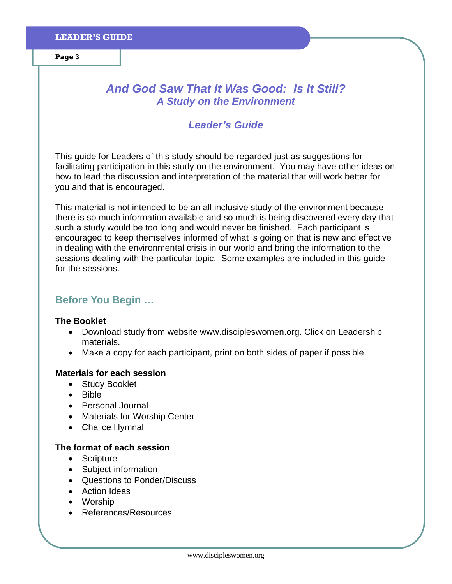## *And God Saw That It Was Good: Is It Still? A Study on the Environment*

## *Leader's Guide*

This guide for Leaders of this study should be regarded just as suggestions for facilitating participation in this study on the environment. You may have other ideas on how to lead the discussion and interpretation of the material that will work better for you and that is encouraged.

This material is not intended to be an all inclusive study of the environment because there is so much information available and so much is being discovered every day that such a study would be too long and would never be finished. Each participant is encouraged to keep themselves informed of what is going on that is new and effective in dealing with the environmental crisis in our world and bring the information to the sessions dealing with the particular topic. Some examples are included in this guide for the sessions.

## **Before You Begin …**

### **The Booklet**

- Download study from website www.discipleswomen.org. Click on Leadership materials.
- Make a copy for each participant, print on both sides of paper if possible

## **Materials for each session**

- Study Booklet
- Bible
- Personal Journal
- Materials for Worship Center
- Chalice Hymnal

## **The format of each session**

- Scripture
- Subject information
- Questions to Ponder/Discuss
- Action Ideas
- Worship
- References/Resources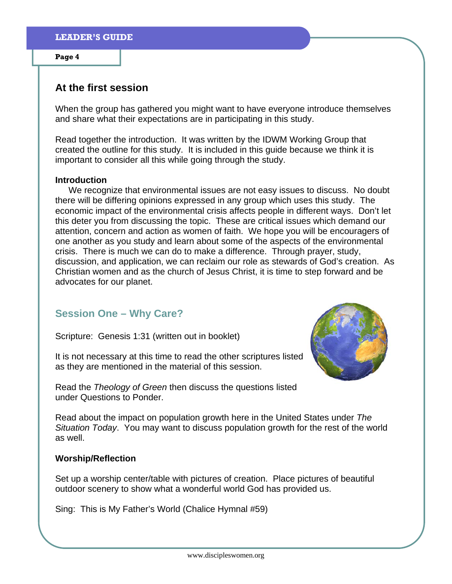## **At the first session**

When the group has gathered you might want to have everyone introduce themselves and share what their expectations are in participating in this study.

Read together the introduction. It was written by the IDWM Working Group that created the outline for this study. It is included in this guide because we think it is important to consider all this while going through the study.

#### **Introduction**

We recognize that environmental issues are not easy issues to discuss. No doubt there will be differing opinions expressed in any group which uses this study. The economic impact of the environmental crisis affects people in different ways. Don't let this deter you from discussing the topic. These are critical issues which demand our attention, concern and action as women of faith. We hope you will be encouragers of one another as you study and learn about some of the aspects of the environmental crisis. There is much we can do to make a difference. Through prayer, study, discussion, and application, we can reclaim our role as stewards of God's creation. As Christian women and as the church of Jesus Christ, it is time to step forward and be advocates for our planet.

## **Session One – Why Care?**

Scripture: Genesis 1:31 (written out in booklet)

It is not necessary at this time to read the other scriptures listed as they are mentioned in the material of this session.



Read the *Theology of Green* then discuss the questions listed under Questions to Ponder.

Read about the impact on population growth here in the United States under *The Situation Today*. You may want to discuss population growth for the rest of the world as well.

## **Worship/Reflection**

Set up a worship center/table with pictures of creation. Place pictures of beautiful outdoor scenery to show what a wonderful world God has provided us.

Sing: This is My Father's World (Chalice Hymnal #59)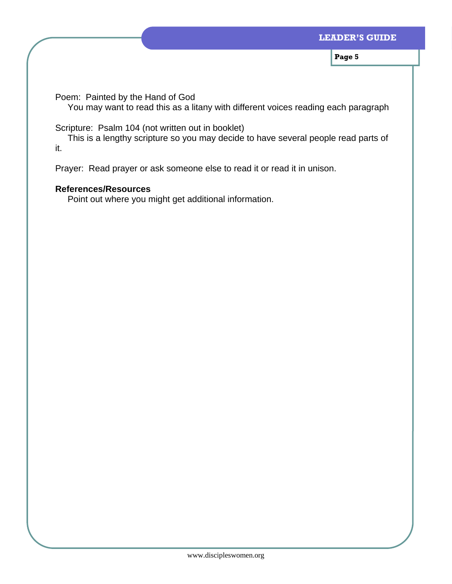Poem: Painted by the Hand of God

You may want to read this as a litany with different voices reading each paragraph

Scripture: Psalm 104 (not written out in booklet)

 This is a lengthy scripture so you may decide to have several people read parts of it.

Prayer: Read prayer or ask someone else to read it or read it in unison.

## **References/Resources**

Point out where you might get additional information.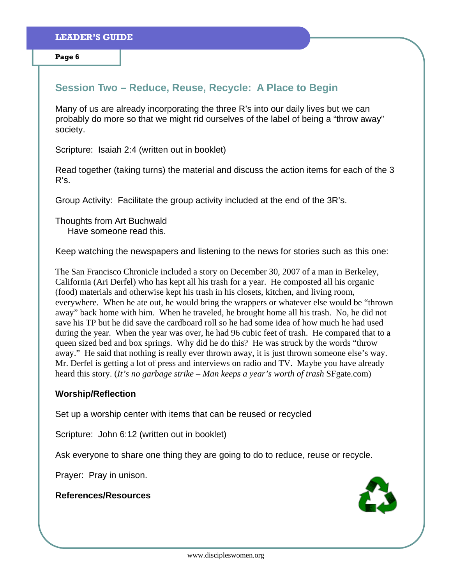## **Session Two – Reduce, Reuse, Recycle: A Place to Begin**

Many of us are already incorporating the three R's into our daily lives but we can probably do more so that we might rid ourselves of the label of being a "throw away" society.

Scripture: Isaiah 2:4 (written out in booklet)

Read together (taking turns) the material and discuss the action items for each of the 3 R's.

Group Activity: Facilitate the group activity included at the end of the 3R's.

Thoughts from Art Buchwald Have someone read this.

Keep watching the newspapers and listening to the news for stories such as this one:

The San Francisco Chronicle included a story on December 30, 2007 of a man in Berkeley, California (Ari Derfel) who has kept all his trash for a year. He composted all his organic (food) materials and otherwise kept his trash in his closets, kitchen, and living room, everywhere. When he ate out, he would bring the wrappers or whatever else would be "thrown away" back home with him. When he traveled, he brought home all his trash. No, he did not save his TP but he did save the cardboard roll so he had some idea of how much he had used during the year. When the year was over, he had 96 cubic feet of trash. He compared that to a queen sized bed and box springs. Why did he do this? He was struck by the words "throw away." He said that nothing is really ever thrown away, it is just thrown someone else's way. Mr. Derfel is getting a lot of press and interviews on radio and TV. Maybe you have already heard this story. (*It's no garbage strike – Man keeps a year's worth of trash* SFgate.com)

#### **Worship/Reflection**

Set up a worship center with items that can be reused or recycled

Scripture: John 6:12 (written out in booklet)

Ask everyone to share one thing they are going to do to reduce, reuse or recycle.

Prayer: Pray in unison.

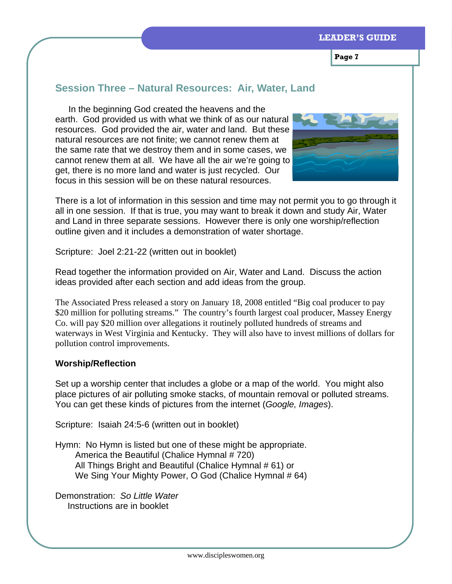**Page 7** 

## **Session Three – Natural Resources: Air, Water, Land**

In the beginning God created the heavens and the earth. God provided us with what we think of as our natural resources. God provided the air, water and land. But these natural resources are not finite; we cannot renew them at the same rate that we destroy them and in some cases, we cannot renew them at all. We have all the air we're going to get, there is no more land and water is just recycled. Our focus in this session will be on these natural resources.



There is a lot of information in this session and time may not permit you to go through it all in one session. If that is true, you may want to break it down and study Air, Water and Land in three separate sessions. However there is only one worship/reflection outline given and it includes a demonstration of water shortage.

Scripture: Joel 2:21-22 (written out in booklet)

Read together the information provided on Air, Water and Land. Discuss the action ideas provided after each section and add ideas from the group.

The Associated Press released a story on January 18, 2008 entitled "Big coal producer to pay \$20 million for polluting streams." The country's fourth largest coal producer, Massey Energy Co. will pay \$20 million over allegations it routinely polluted hundreds of streams and waterways in West Virginia and Kentucky. They will also have to invest millions of dollars for pollution control improvements.

### **Worship/Reflection**

Set up a worship center that includes a globe or a map of the world. You might also place pictures of air polluting smoke stacks, of mountain removal or polluted streams. You can get these kinds of pictures from the internet (*Google, Images*).

Scripture: Isaiah 24:5-6 (written out in booklet)

Hymn: No Hymn is listed but one of these might be appropriate. America the Beautiful (Chalice Hymnal # 720) All Things Bright and Beautiful (Chalice Hymnal # 61) or We Sing Your Mighty Power, O God (Chalice Hymnal # 64)

Demonstration: *So Little Water* Instructions are in booklet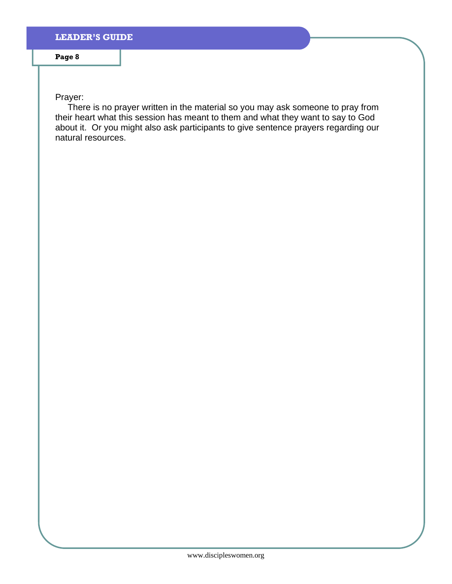Prayer:

 There is no prayer written in the material so you may ask someone to pray from their heart what this session has meant to them and what they want to say to God about it. Or you might also ask participants to give sentence prayers regarding our natural resources.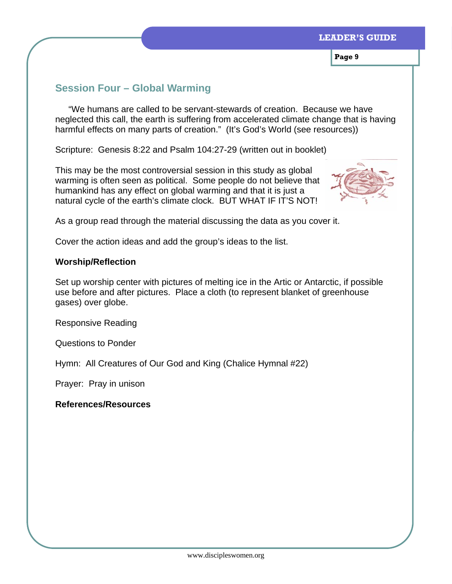**Page 9** 

## **Session Four – Global Warming**

"We humans are called to be servant-stewards of creation. Because we have neglected this call, the earth is suffering from accelerated climate change that is having harmful effects on many parts of creation." (It's God's World (see resources))

Scripture: Genesis 8:22 and Psalm 104:27-29 (written out in booklet)

This may be the most controversial session in this study as global warming is often seen as political. Some people do not believe that humankind has any effect on global warming and that it is just a natural cycle of the earth's climate clock. BUT WHAT IF IT'S NOT!



As a group read through the material discussing the data as you cover it.

Cover the action ideas and add the group's ideas to the list.

## **Worship/Reflection**

Set up worship center with pictures of melting ice in the Artic or Antarctic, if possible use before and after pictures. Place a cloth (to represent blanket of greenhouse gases) over globe.

Responsive Reading

Questions to Ponder

Hymn: All Creatures of Our God and King (Chalice Hymnal #22)

Prayer: Pray in unison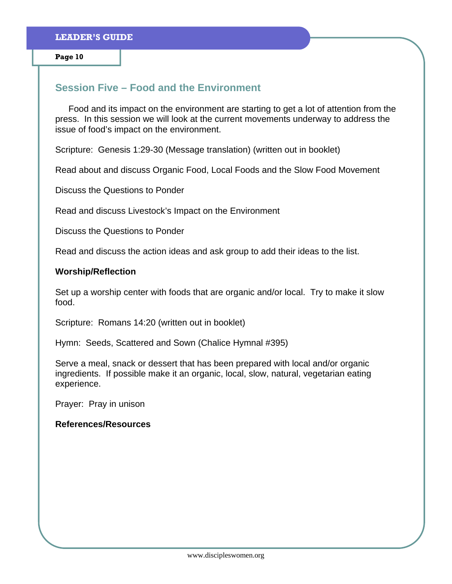## **Session Five – Food and the Environment**

Food and its impact on the environment are starting to get a lot of attention from the press. In this session we will look at the current movements underway to address the issue of food's impact on the environment.

Scripture: Genesis 1:29-30 (Message translation) (written out in booklet)

Read about and discuss Organic Food, Local Foods and the Slow Food Movement

Discuss the Questions to Ponder

Read and discuss Livestock's Impact on the Environment

Discuss the Questions to Ponder

Read and discuss the action ideas and ask group to add their ideas to the list.

#### **Worship/Reflection**

Set up a worship center with foods that are organic and/or local. Try to make it slow food.

Scripture: Romans 14:20 (written out in booklet)

Hymn: Seeds, Scattered and Sown (Chalice Hymnal #395)

Serve a meal, snack or dessert that has been prepared with local and/or organic ingredients. If possible make it an organic, local, slow, natural, vegetarian eating experience.

Prayer: Pray in unison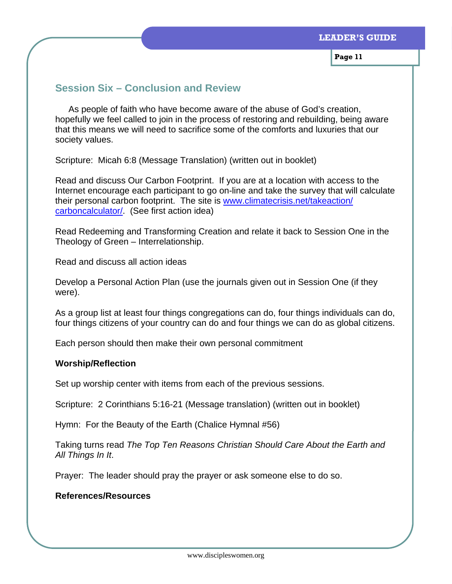**Page 11** 

## **Session Six – Conclusion and Review**

As people of faith who have become aware of the abuse of God's creation, hopefully we feel called to join in the process of restoring and rebuilding, being aware that this means we will need to sacrifice some of the comforts and luxuries that our society values.

Scripture: Micah 6:8 (Message Translation) (written out in booklet)

Read and discuss Our Carbon Footprint. If you are at a location with access to the Internet encourage each participant to go on-line and take the survey that will calculate their personal carbon footprint. The site is www.climatecrisis.net/takeaction/ carboncalculator/. (See first action idea)

Read Redeeming and Transforming Creation and relate it back to Session One in the Theology of Green – Interrelationship.

Read and discuss all action ideas

Develop a Personal Action Plan (use the journals given out in Session One (if they were).

As a group list at least four things congregations can do, four things individuals can do, four things citizens of your country can do and four things we can do as global citizens.

Each person should then make their own personal commitment

### **Worship/Reflection**

Set up worship center with items from each of the previous sessions.

Scripture: 2 Corinthians 5:16-21 (Message translation) (written out in booklet)

Hymn: For the Beauty of the Earth (Chalice Hymnal #56)

Taking turns read *The Top Ten Reasons Christian Should Care About the Earth and All Things In It*.

Prayer: The leader should pray the prayer or ask someone else to do so.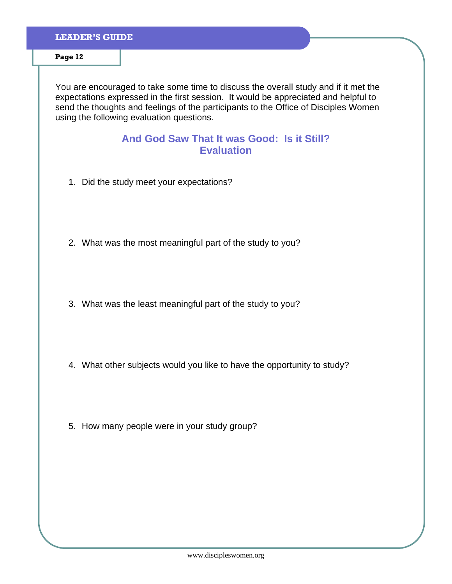